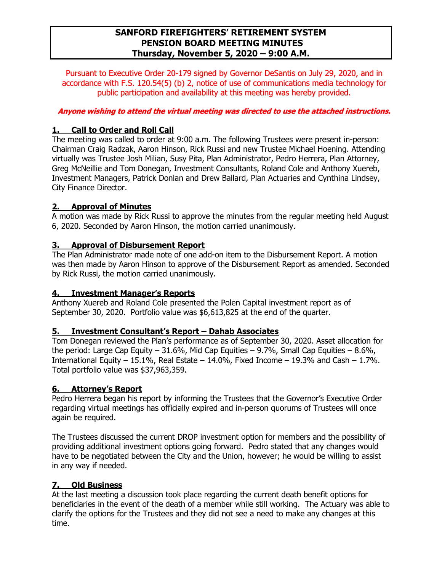# **SANFORD FIREFIGHTERS' RETIREMENT SYSTEM PENSION BOARD MEETING MINUTES Thursday, November 5, 2020 – 9:00 A.M.**

Pursuant to Executive Order 20-179 signed by Governor DeSantis on July 29, 2020, and in accordance with F.S. 120.54(5) (b) 2, notice of use of communications media technology for public participation and availability at this meeting was hereby provided.

### **Anyone wishing to attend the virtual meeting was directed to use the attached instructions.**

# **1. Call to Order and Roll Call**

The meeting was called to order at 9:00 a.m. The following Trustees were present in-person: Chairman Craig Radzak, Aaron Hinson, Rick Russi and new Trustee Michael Hoening. Attending virtually was Trustee Josh Milian, Susy Pita, Plan Administrator, Pedro Herrera, Plan Attorney, Greg McNeillie and Tom Donegan, Investment Consultants, Roland Cole and Anthony Xuereb, Investment Managers, Patrick Donlan and Drew Ballard, Plan Actuaries and Cynthina Lindsey, City Finance Director.

# **2. Approval of Minutes**

A motion was made by Rick Russi to approve the minutes from the regular meeting held August 6, 2020. Seconded by Aaron Hinson, the motion carried unanimously.

### **3. Approval of Disbursement Report**

The Plan Administrator made note of one add-on item to the Disbursement Report. A motion was then made by Aaron Hinson to approve of the Disbursement Report as amended. Seconded by Rick Russi, the motion carried unanimously.

# **4. Investment Manager's Reports**

Anthony Xuereb and Roland Cole presented the Polen Capital investment report as of September 30, 2020. Portfolio value was \$6,613,825 at the end of the quarter.

#### **5. Investment Consultant's Report – Dahab Associates**

Tom Donegan reviewed the Plan's performance as of September 30, 2020. Asset allocation for the period: Large Cap Equity – 31.6%, Mid Cap Equities – 9.7%, Small Cap Equities – 8.6%, International Equity – 15.1%, Real Estate – 14.0%, Fixed Income – 19.3% and Cash – 1.7%. Total portfolio value was \$37,963,359.

# **6. Attorney's Report**

Pedro Herrera began his report by informing the Trustees that the Governor's Executive Order regarding virtual meetings has officially expired and in-person quorums of Trustees will once again be required.

The Trustees discussed the current DROP investment option for members and the possibility of providing additional investment options going forward. Pedro stated that any changes would have to be negotiated between the City and the Union, however; he would be willing to assist in any way if needed.

# **7. Old Business**

At the last meeting a discussion took place regarding the current death benefit options for beneficiaries in the event of the death of a member while still working. The Actuary was able to clarify the options for the Trustees and they did not see a need to make any changes at this time.